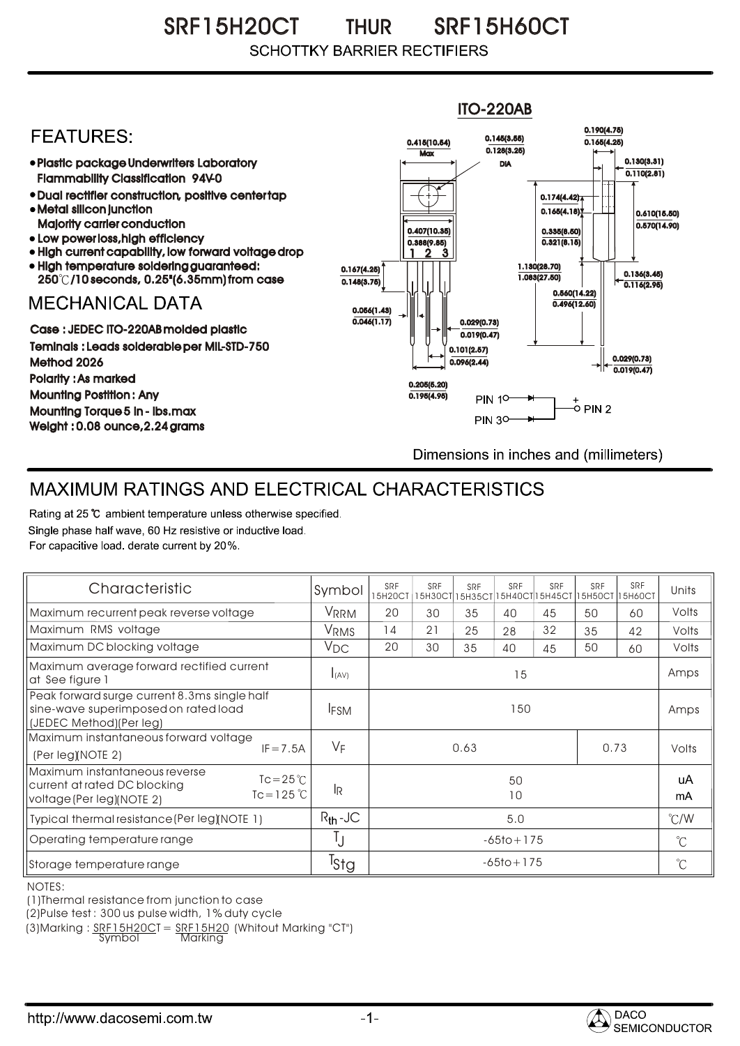SRF15H20CT THUR SRF15H60CT **THUR SCHOTTKY BARRIER RECTIFIERS** 



## MAXIMUM RATINGS AND ELECTRICAL CHARACTERISTICS

Rating at 25 °C ambient temperature unless otherwise specified. Single phase half wave, 60 Hz resistive or inductive load. For capacitive load, derate current by 20%.

| Characteristic                                                                                                                      | Symbol           | SRF<br>15H20CT | SRF<br>15H30CT | SRF<br>15H35CT 15H40CT 15H45CT | SRF | SRF | SRF<br>15H50CT | SRF<br>15H60C1 | Units                |
|-------------------------------------------------------------------------------------------------------------------------------------|------------------|----------------|----------------|--------------------------------|-----|-----|----------------|----------------|----------------------|
| Maximum recurrent peak reverse voltage                                                                                              | VRRM             | 20             | 30             | 35                             | 40  | 45  | 50             | 60             | Volts                |
| Maximum RMS voltage                                                                                                                 | V <sub>RMS</sub> | 14             | 21             | 25                             | 28  | 32  | 35             | 42             | Volts                |
| Maximum DC blocking voltage                                                                                                         | V <sub>DC</sub>  | 20             | 30             | 35                             | 40  | 45  | 50             | 60             | Volts                |
| Maximum average forward rectified current<br>at See figure 1                                                                        | I(AV)            | 15             |                |                                |     |     |                |                | Amps                 |
| Peak forward surge current 8.3ms single half<br>sine-wave superimposed on rated load<br>(JEDEC Method)(Per leg)                     | <b>IFSM</b>      | 150            |                |                                |     |     |                |                | Amps                 |
| Maximum instantaneous forward voltage<br>$IF = 7.5A$<br>(Per leg)(NOTE 2)                                                           | VF               | 0.63<br>0.73   |                |                                |     |     |                | Volts          |                      |
| Maximum instantaneous reverse<br>$Tc = 25^{\circ}$ C<br>current at rated DC blocking<br>$Tc = 125$ °C<br>voltage (Per leg) (NOTE 2) | l <sub>R</sub>   | 50<br>10       |                |                                |     |     |                |                | uA<br>mA             |
| Typical thermal resistance (Per leg)(NOTE 1)                                                                                        | $R_{th}$ -JC     |                | 5.0            |                                |     |     |                |                |                      |
| Operating temperature range                                                                                                         |                  | $-65$ to + 175 |                |                                |     |     |                |                | $\mathrm{C}$         |
| Storage temperature range                                                                                                           | <sup>I</sup> sta | $-65$ to + 175 |                |                                |     |     |                |                | $\mathrm{C}^{\circ}$ |

NOTES:

(1)Thermal resistance from junction to case

(2)Pulse test : 300 us pulse width, 1% duty cycle

(3) Marking :  $\frac{SRF15H20C}{Svmbo} = \frac{SRF15H20}{Narkina}$  (Whitout Marking "CT")

<u>Marking</u>